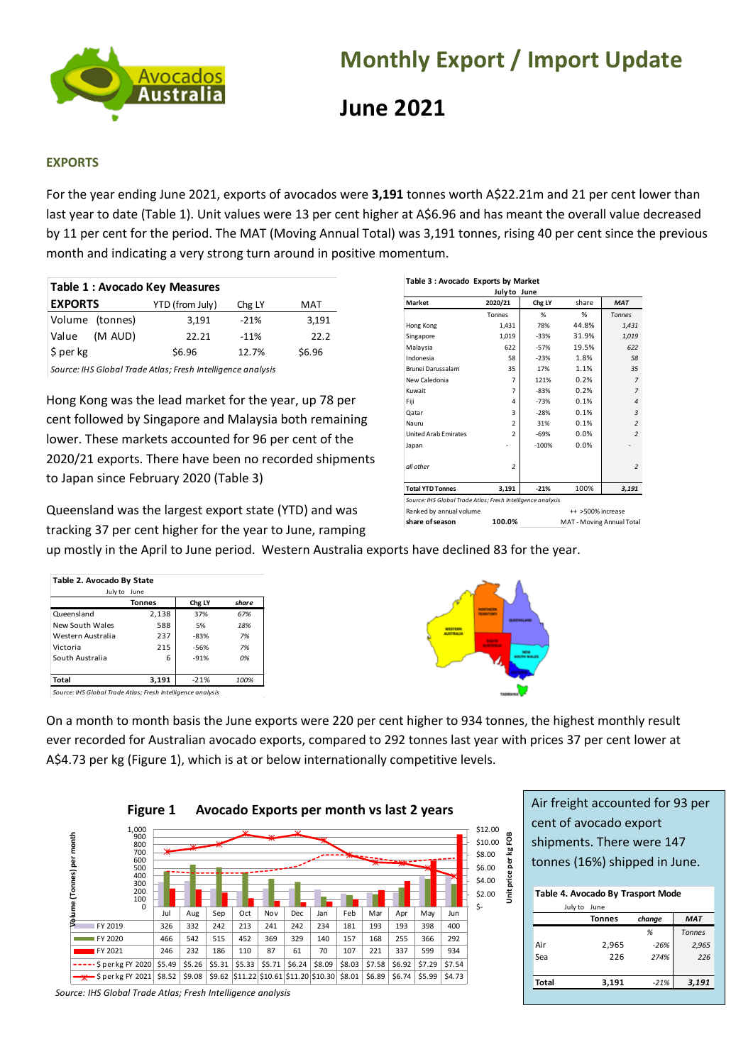

# **Monthly Export / Import Update**

**June 2021**

## **EXPORTS**

For the year ending June 2021, exports of avocados were **3,191** tonnes worth A\$22.21m and 21 per cent lower than last year to date (Table 1). Unit values were 13 per cent higher at A\$6.96 and has meant the overall value decreased by 11 per cent for the period. The MAT (Moving Annual Total) was 3,191 tonnes, rising 40 per cent since the previous month and indicating a very strong turn around in positive momentum.

| Table 1 : Avocado Key Measures |                 |        |        |  |  |
|--------------------------------|-----------------|--------|--------|--|--|
| <b>EXPORTS</b>                 | YTD (from July) | Chg LY | MAT    |  |  |
| Volume (tonnes)                | 3,191           | $-21%$ | 3,191  |  |  |
| (M AUD)<br>Value               | 22.21           | $-11%$ | 22.2   |  |  |
| $$$ per kg                     | \$6.96          | 12.7%  | \$6.96 |  |  |
|                                |                 |        |        |  |  |

*Source: IHS Global Trade Atlas; Fresh Intelligence analysis*

Hong Kong was the lead market for the year, up 78 per cent followed by Singapore and Malaysia both remaining lower. These markets accounted for 96 per cent of the 2020/21 exports. There have been no recorded shipments to Japan since February 2020 (Table 3)

Queensland was the largest export state (YTD) and was tracking 37 per cent higher for the year to June, ramping

| Table 3 : Avocado Exports by Market                         |                                              |         |                           |                          |  |  |
|-------------------------------------------------------------|----------------------------------------------|---------|---------------------------|--------------------------|--|--|
| Julyto June                                                 |                                              |         |                           |                          |  |  |
| Market                                                      | 2020/21                                      | Chg LY  | share                     | <b>MAT</b>               |  |  |
|                                                             | Tonnes                                       | %       | ℅                         | <b>Tonnes</b>            |  |  |
| Hong Kong                                                   | 1.431                                        | 78%     | 44.8%                     | 1,431                    |  |  |
| Singapore                                                   | 1,019                                        | $-33%$  | 31.9%                     | 1,019                    |  |  |
| Malaysia                                                    | 622                                          | $-57%$  | 19.5%                     | 622                      |  |  |
| Indonesia                                                   | 58                                           | $-23%$  | 1.8%                      | 58                       |  |  |
| Brunei Darussalam                                           | 35                                           | 17%     | 1.1%                      | 35                       |  |  |
| New Caledonia                                               | $\overline{7}$                               | 121%    | 0.2%                      | $\overline{7}$           |  |  |
| Kuwait                                                      | $\overline{7}$                               | $-83%$  | 0.2%                      | $\overline{7}$           |  |  |
| Fiji                                                        | 4                                            | $-73%$  | 0.1%                      | $\overline{\mathcal{A}}$ |  |  |
| Qatar                                                       | 3                                            | $-28%$  | 0.1%                      | $\overline{3}$           |  |  |
| Nauru                                                       | $\overline{2}$                               | 31%     | 0.1%                      | $\overline{2}$           |  |  |
| <b>United Arab Emirates</b>                                 | $\overline{\mathbf{z}}$                      | $-69%$  | 0.0%                      | $\overline{\mathcal{L}}$ |  |  |
| Japan                                                       |                                              | $-100%$ | 0.0%                      |                          |  |  |
| all other                                                   | $\overline{\mathcal{L}}$                     |         |                           | $\overline{\mathcal{L}}$ |  |  |
| <b>Total YTD Tonnes</b>                                     | 3,191                                        | $-21%$  | 100%                      | 3,191                    |  |  |
| Source: IHS Global Trade Atlas; Fresh Intelligence analysis |                                              |         |                           |                          |  |  |
|                                                             | Ranked by annual volume<br>++ >500% increase |         |                           |                          |  |  |
| share of season                                             | 100.0%                                       |         | MAT - Moving Annual Total |                          |  |  |

up mostly in the April to June period. Western Australia exports have declined 83 for the year.

| Table 2. Avocado By State |               |        |       |  |  |
|---------------------------|---------------|--------|-------|--|--|
| July to<br>June           |               |        |       |  |  |
|                           | <b>Tonnes</b> | Chg LY | share |  |  |
| Queensland                | 2,138         | 37%    | 67%   |  |  |
| New South Wales           | 588           | 5%     | 18%   |  |  |
| Western Australia         | 237           | $-83%$ | 7%    |  |  |
| Victoria                  | 215           | $-56%$ | 7%    |  |  |
| South Australia           | 6             | $-91%$ | 0%    |  |  |
|                           |               |        |       |  |  |
| Total                     | 3.191         | $-21%$ | 100%  |  |  |



*Source: IHS Global Trade Atlas; Fresh Intelligence analysis*

On a month to month basis the June exports were 220 per cent higher to 934 tonnes, the highest monthly result ever recorded for Australian avocado exports, compared to 292 tonnes last year with prices 37 per cent lower at A\$4.73 per kg (Figure 1), which is at or below internationally competitive levels.



cent of avocado export shipments. There were 147 tonnes (16%) shipped in June.

| Table 4. Avocado By Trasport Mode |
|-----------------------------------|
| luly to lune                      |

|       | July to June |               |        |               |
|-------|--------------|---------------|--------|---------------|
|       |              | <b>Tonnes</b> | change | <b>MAT</b>    |
|       |              |               | %      | <b>Tonnes</b> |
| Air   |              | 2,965         | $-26%$ | 2,965         |
| Sea   |              | 226           | 274%   | 226           |
|       |              |               |        |               |
| Total |              | 3,191         | $-21%$ | 3,191         |
|       |              |               |        |               |

*Source: IHS Global Trade Atlas; Fresh Intelligence analysis*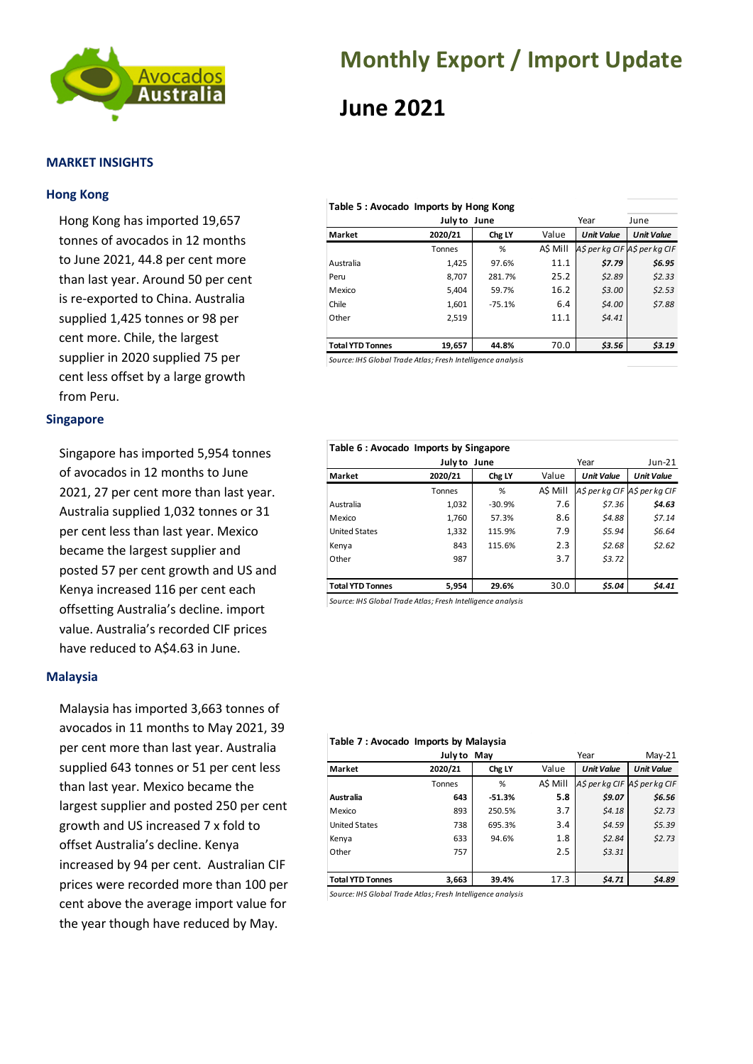

## **MARKET INSIGHTS**

### **Hong Kong**

Hong Kong has imported 19,657 tonnes of avocados in 12 months to June 2021, 44.8 per cent more than last year. Around 50 per cent is re-exported to China. Australia supplied 1,425 tonnes or 98 per cent more. Chile, the largest supplier in 2020 supplied 75 per cent less offset by a large growth from Peru.

### **Singapore**

Singapore has imported 5,954 tonnes of avocados in 12 months to June 2021, 27 per cent more than last year. Australia supplied 1,032 tonnes or 31 per cent less than last year. Mexico became the largest supplier and posted 57 per cent growth and US and Kenya increased 116 per cent each offsetting Australia's decline. import value. Australia's recorded CIF prices have reduced to A\$4.63 in June.

### **Malaysia**

Malaysia has imported 3,663 tonnes of avocados in 11 months to May 2021, 39 per cent more than last year. Australia supplied 643 tonnes or 51 per cent less than last year. Mexico became the largest supplier and posted 250 per cent growth and US increased 7 x fold to offset Australia's decline. Kenya increased by 94 per cent. Australian CIF prices were recorded more than 100 per cent above the average import value for the year though have reduced by May.

# **Monthly Export / Import Update**

## **June 2021**

| Table 5 : Avocado Imports by Hong Kong |         |        |          |                               |                   |
|----------------------------------------|---------|--------|----------|-------------------------------|-------------------|
|                                        | July to | June   |          | Year                          | June              |
| Market                                 | 2020/21 | Chg LY | Value    | <b>Unit Value</b>             | <b>Unit Value</b> |
|                                        | Tonnes  | %      | A\$ Mill | A\$ per kg CIF A\$ per kg CIF |                   |
| Australia                              | 1,425   | 97.6%  | 11.1     | \$7.79                        | \$6.95            |
| Peru                                   | 8.707   | 281.7% | 25.2     | \$2.89                        | 52.33             |
| Mexico                                 | 5,404   | 59.7%  | 16.2     | \$3.00                        | \$2.53            |

Other 2,519 11.1 \$4.41

Chile 1,601 -75.1% 6.4 *\$4.00 \$7.88*

**Total YTD Tonnes 19,657 44.8%** 70.0 *\$3.56 \$3.19*

*Source: IHS Global Trade Atlas; Fresh Intelligence analysis*

### **Table 6 : Avocado Imports by Singapore**

|                         | July to | June     |          | Year                          | $Jun-21$          |
|-------------------------|---------|----------|----------|-------------------------------|-------------------|
| Market                  | 2020/21 | Chg LY   | Value    | <b>Unit Value</b>             | <b>Unit Value</b> |
|                         | Tonnes  | %        | A\$ Mill | A\$ per kg CIF A\$ per kg CIF |                   |
| Australia               | 1,032   | $-30.9%$ | 7.6      | \$7.36                        | \$4.63            |
| Mexico                  | 1,760   | 57.3%    | 8.6      | \$4.88                        | \$7.14            |
| <b>United States</b>    | 1,332   | 115.9%   | 7.9      | \$5.94                        | \$6.64            |
| Kenya                   | 843     | 115.6%   | 2.3      | \$2.68                        | \$2.62            |
| Other                   | 987     |          | 3.7      | \$3.72                        |                   |
|                         |         |          |          |                               |                   |
| <b>Total YTD Tonnes</b> | 5,954   | 29.6%    | 30.0     | \$5.04                        | \$4.41            |

*Source: IHS Global Trade Atlas; Fresh Intelligence analysis*

#### **Table 7 : Avocado Imports by Malaysia**

|                         | July to May |          | Year     |                               | $May-21$          |
|-------------------------|-------------|----------|----------|-------------------------------|-------------------|
| Market                  | 2020/21     | Chg LY   | Value    | <b>Unit Value</b>             | <b>Unit Value</b> |
|                         | Tonnes      | %        | A\$ Mill | A\$ per kg CIF A\$ per kg CIF |                   |
| Australia               | 643         | $-51.3%$ | 5.8      | \$9.07                        | \$6.56            |
| Mexico                  | 893         | 250.5%   | 3.7      | \$4.18                        | \$2.73            |
| <b>United States</b>    | 738         | 695.3%   | 3.4      | \$4.59                        | \$5.39            |
| Kenya                   | 633         | 94.6%    | 1.8      | \$2.84                        | \$2.73            |
| Other                   | 757         |          | 2.5      | 53.31                         |                   |
|                         |             |          |          |                               |                   |
| <b>Total YTD Tonnes</b> | 3,663       | 39.4%    | 17.3     | \$4.71                        | \$4.89            |

*Source: IHS Global Trade Atlas; Fresh Intelligence analysis*